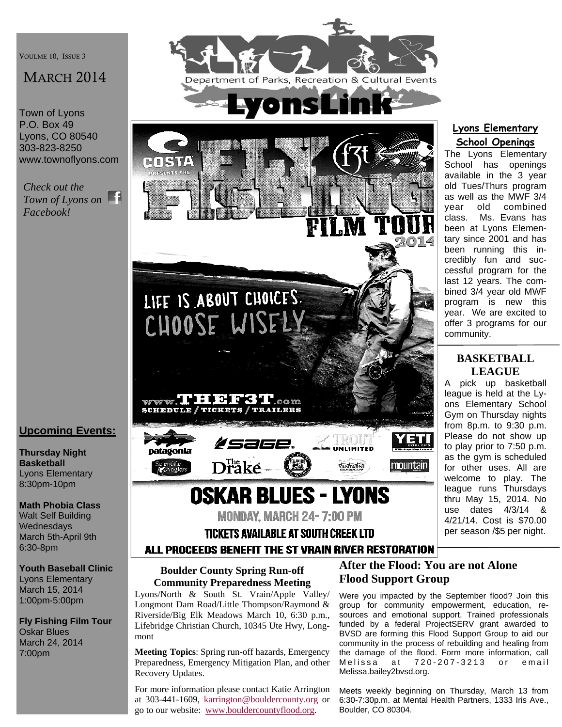VOULME 10, ISSUE 3

# MARCH 2014

Town of Lyons P.O. Box 49 Lyons, CO 80540 303-823-8250 www.townoflyons.com

*Check out the Town of Lyons on Facebook!* 

# **Upcoming Events:**

**Thursday Night Basketball**  Lyons Elementary 8:30pm-10pm

**Math Phobia Class**  Walt Self Building **Wednesdays** March 5th-April 9th 6:30-8pm

**Youth Baseball Clinic**  Lyons Elementary March 15, 2014 1:00pm-5:00pm

**Fly Fishing Film Tour**  Oskar Blues March 24, 2014 7:00pm





#### **Lyons Elementary School Openings**

The Lyons Elementary School has openings available in the 3 year old Tues/Thurs program as well as the MWF 3/4 year old combined class. Ms. Evans has been at Lyons Elementary since 2001 and has been running this incredibly fun and successful program for the last 12 years. The combined 3/4 year old MWF program is new this year. We are excited to offer 3 programs for our community.

# **BASKETBALL LEAGUE**

A pick up basketball league is held at the Lyons Elementary School Gym on Thursday nights from 8p.m. to 9:30 p.m. Please do not show up to play prior to 7:50 p.m. as the gym is scheduled for other uses. All are welcome to play. The league runs Thursdays thru May 15, 2014. No use dates 4/3/14 & 4/21/14. Cost is \$70.00 per season /\$5 per night.

# ALL PROCEEDS BENEFIT THE ST VRAIN RIVER RESTORATION

#### **Boulder County Spring Run-off Community Preparedness Meeting**

Lyons/North & South St. Vrain/Apple Valley/ Longmont Dam Road/Little Thompson/Raymond & Riverside/Big Elk Meadows March 10, 6:30 p.m., Lifebridge Christian Church, 10345 Ute Hwy, Longmont

**Meeting Topics**: Spring run-off hazards, Emergency Preparedness, Emergency Mitigation Plan, and other Recovery Updates.

For more information please contact Katie Arrington at 303-441-1609, karrington@bouldercounty.org or go to our website: www.bouldercountyflood.org.

### **After the Flood: You are not Alone Flood Support Group**

Were you impacted by the September flood? Join this group for community empowerment, education, resources and emotional support. Trained professionals funded by a federal ProjectSERV grant awarded to BVSD are forming this Flood Support Group to aid our community in the process of rebuilding and healing from the damage of the flood. Form more information, call Melissa at 720-207-3213 or email Melissa.bailey2bvsd.org.

Meets weekly beginning on Thursday, March 13 from 6:30-7:30p.m. at Mental Health Partners, 1333 Iris Ave., Boulder, CO 80304.